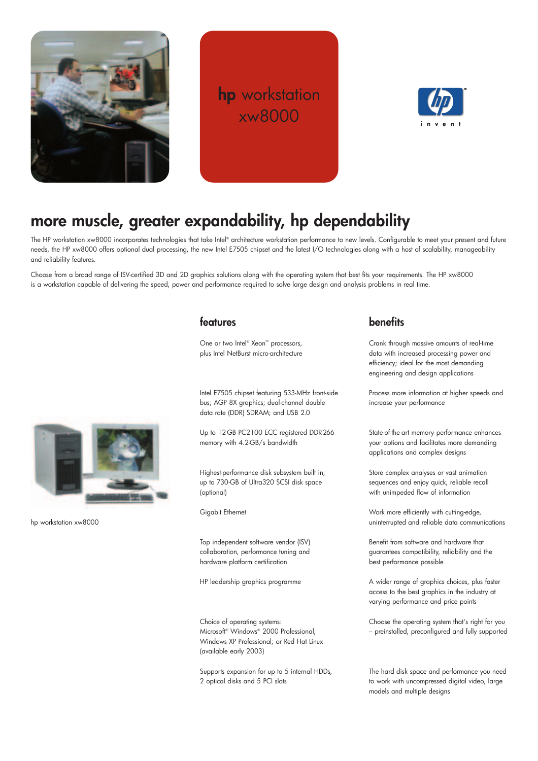

## **hp** workstation xw8000



## **more muscle, greater expandability, hp dependability**

The HP workstation xw8000 incorporates technologies that take Intel® architecture workstation performance to new levels. Configurable to meet your present and future needs, the HP xw8000 offers optional dual processing, the new Intel E7505 chipset and the latest I/O technologies along with a host of scalability, manageability and reliability features.

Choose from a broad range of ISV-certified 3D and 2D graphics solutions along with the operating system that best fits your requirements. The HP xw8000 is a workstation capable of delivering the speed, power and performance required to solve large design and analysis problems in real time.



One or two Intel® Xeon™ processors, plus Intel NetBurst micro-architecture

Intel E7505 chipset featuring 533-MHz front-side bus; AGP 8X graphics; dual-channel double data rate (DDR) SDRAM; and USB 2.0

Up to 12-GB PC2100 ECC registered DDR-266 memory with 4.2-GB/s bandwidth

Highest-performance disk subsystem built in; up to 730-GB of Ultra320 SCSI disk space (optional)

Gigabit Ethernet

Top independent software vendor (ISV) collaboration, performance tuning and hardware platform certification

HP leadership graphics programme

Choice of operating systems: Microsoft® Windows® 2000 Professional; Windows XP Professional; or Red Hat Linux (available early 2003)

Supports expansion for up to 5 internal HDDs, 2 optical disks and 5 PCI slots

## **benefits**

Crank through massive amounts of real-time data with increased processing power and efficiency; ideal for the most demanding engineering and design applications

Process more information at higher speeds and increase your performance

State-of-the-art memory performance enhances your options and facilitates more demanding applications and complex designs

Store complex analyses or vast animation sequences and enjoy quick, reliable recall with unimpeded flow of information

Work more efficiently with cutting-edge, uninterrupted and reliable data communications

Benefit from software and hardware that guarantees compatibility, reliability and the best performance possible

A wider range of graphics choices, plus faster access to the best graphics in the industry at varying performance and price points

Choose the operating system that's right for you – preinstalled, preconfigured and fully supported

The hard disk space and performance you need to work with uncompressed digital video, large models and multiple designs



hp workstation xw8000